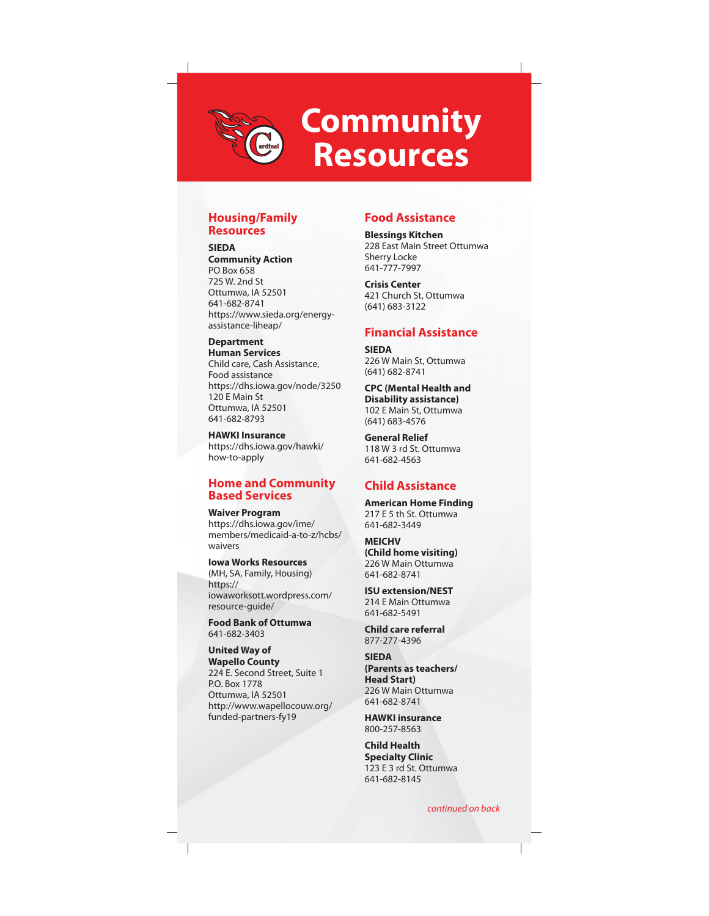

# **Community Resources**

## **Housing/Family Resources**

**SIEDA Community Action**

PO Box 658 725 W. 2nd St Ottumwa, IA 52501 641-682-8741 https://www.sieda.org/energyassistance-liheap/

**Department Human Services** Child care, Cash Assistance, Food assistance https://dhs.iowa.gov/node/3250 120 E Main St Ottumwa, IA 52501 641-682-8793

**HAWKI Insurance** https://dhs.iowa.gov/hawki/ how-to-apply

#### **Home and Community Based Services**

**Waiver Program** https://dhs.iowa.gov/ime/ members/medicaid-a-to-z/hcbs/ waivers

**Iowa Works Resources** (MH, SA, Family, Housing) https:// iowaworksott.wordpress.com/ resource-guide/

**Food Bank of Ottumwa** 641-682-3403

**United Way of Wapello County** 224 E. Second Street, Suite 1 P.O. Box 1778 Ottumwa, IA 52501 http://www.wapellocouw.org/ funded-partners-fy19

## **Food Assistance**

**Blessings Kitchen** 228 East Main Street Ottumwa Sherry Locke 641-777-7997

**Crisis Center** 421 Church St, Ottumwa (641) 683-3122

## **Financial Assistance**

**SIEDA** 226 W Main St, Ottumwa (641) 682-8741

**CPC (Mental Health and Disability assistance)** 102 E Main St, Ottumwa (641) 683-4576

**General Relief** 118 W 3 rd St. Ottumwa 641-682-4563

# **Child Assistance**

**American Home Finding** 217 E 5 th St. Ottumwa 641-682-3449

**MEICHV (Child home visiting)** 226 W Main Ottumwa 641-682-8741

**ISU extension/NEST** 214 E Main Ottumwa 641-682-5491

**Child care referral** 877-277-4396

**SIEDA (Parents as teachers/ Head Start)** 226 W Main Ottumwa 641-682-8741

**HAWKI insurance** 800-257-8563

**Child Health Specialty Clinic** 123 E 3 rd St. Ottumwa 641-682-8145

*continued on back*